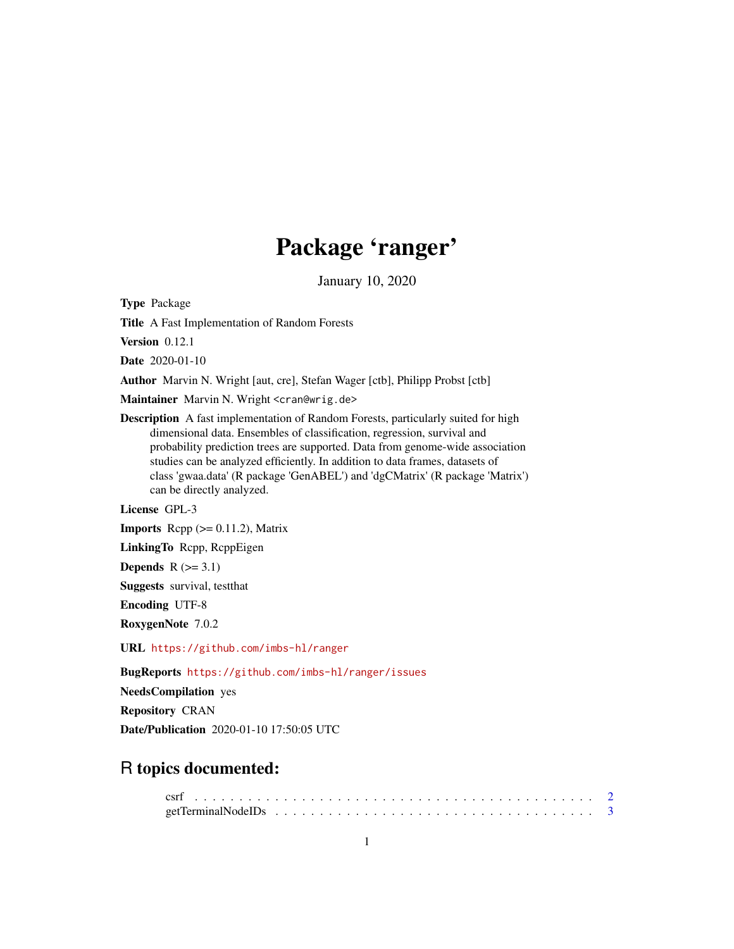# Package 'ranger'

January 10, 2020

Type Package

Title A Fast Implementation of Random Forests

Version 0.12.1

Date 2020-01-10

Author Marvin N. Wright [aut, cre], Stefan Wager [ctb], Philipp Probst [ctb]

Maintainer Marvin N. Wright <cran@wrig.de>

Description A fast implementation of Random Forests, particularly suited for high dimensional data. Ensembles of classification, regression, survival and probability prediction trees are supported. Data from genome-wide association studies can be analyzed efficiently. In addition to data frames, datasets of class 'gwaa.data' (R package 'GenABEL') and 'dgCMatrix' (R package 'Matrix') can be directly analyzed.

License GPL-3

**Imports** Rcpp  $(>= 0.11.2)$ , Matrix

LinkingTo Rcpp, RcppEigen

Depends  $R$  ( $>= 3.1$ )

Suggests survival, testthat

Encoding UTF-8

RoxygenNote 7.0.2

URL <https://github.com/imbs-hl/ranger>

BugReports <https://github.com/imbs-hl/ranger/issues>

NeedsCompilation yes

Repository CRAN

Date/Publication 2020-01-10 17:50:05 UTC

# R topics documented: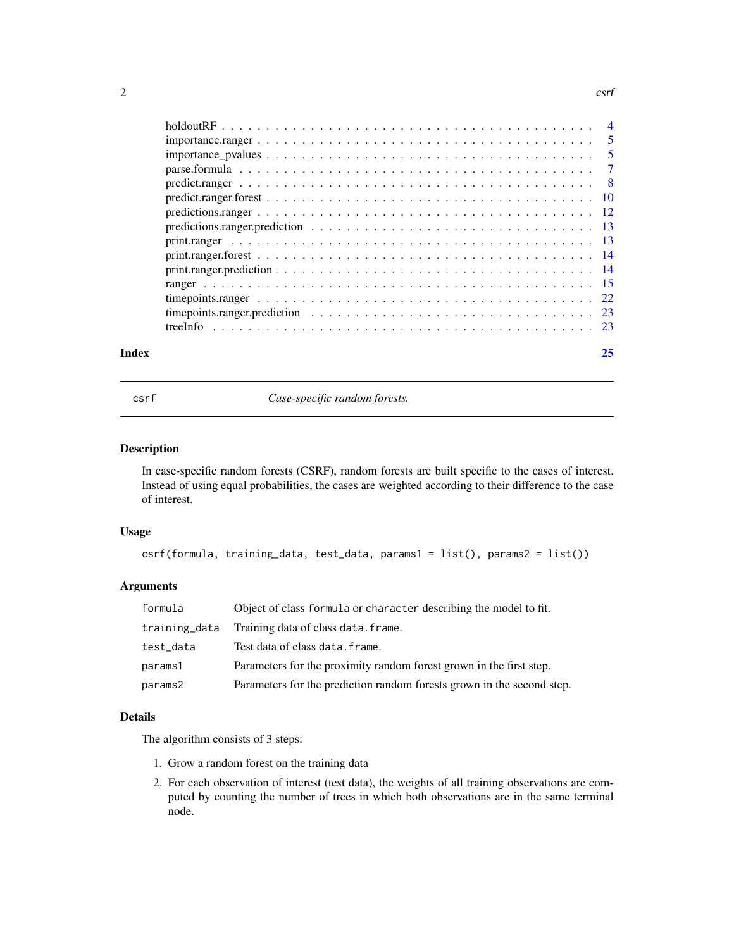#### <span id="page-1-0"></span> $2 \cos \theta$

| Index |                                                                                                                     | 25 |
|-------|---------------------------------------------------------------------------------------------------------------------|----|
|       |                                                                                                                     |    |
|       | time points ranger prediction $\ldots \ldots \ldots \ldots \ldots \ldots \ldots \ldots \ldots \ldots \ldots \ldots$ |    |
|       |                                                                                                                     |    |
|       |                                                                                                                     |    |
|       |                                                                                                                     |    |
|       |                                                                                                                     |    |
|       |                                                                                                                     |    |
|       |                                                                                                                     |    |
|       |                                                                                                                     |    |
|       |                                                                                                                     |    |
|       |                                                                                                                     |    |
|       |                                                                                                                     |    |
|       |                                                                                                                     |    |
|       |                                                                                                                     |    |
|       |                                                                                                                     |    |

csrf *Case-specific random forests.*

#### Description

In case-specific random forests (CSRF), random forests are built specific to the cases of interest. Instead of using equal probabilities, the cases are weighted according to their difference to the case of interest.

#### Usage

```
csrf(formula, training_data, test_data, params1 = list(), params2 = list())
```
# Arguments

| formula       | Object of class formula or character describing the model to fit.      |
|---------------|------------------------------------------------------------------------|
| training_data | Training data of class data. frame.                                    |
| test_data     | Test data of class data. frame.                                        |
| params1       | Parameters for the proximity random forest grown in the first step.    |
| params2       | Parameters for the prediction random forests grown in the second step. |

### Details

The algorithm consists of 3 steps:

- 1. Grow a random forest on the training data
- 2. For each observation of interest (test data), the weights of all training observations are computed by counting the number of trees in which both observations are in the same terminal node.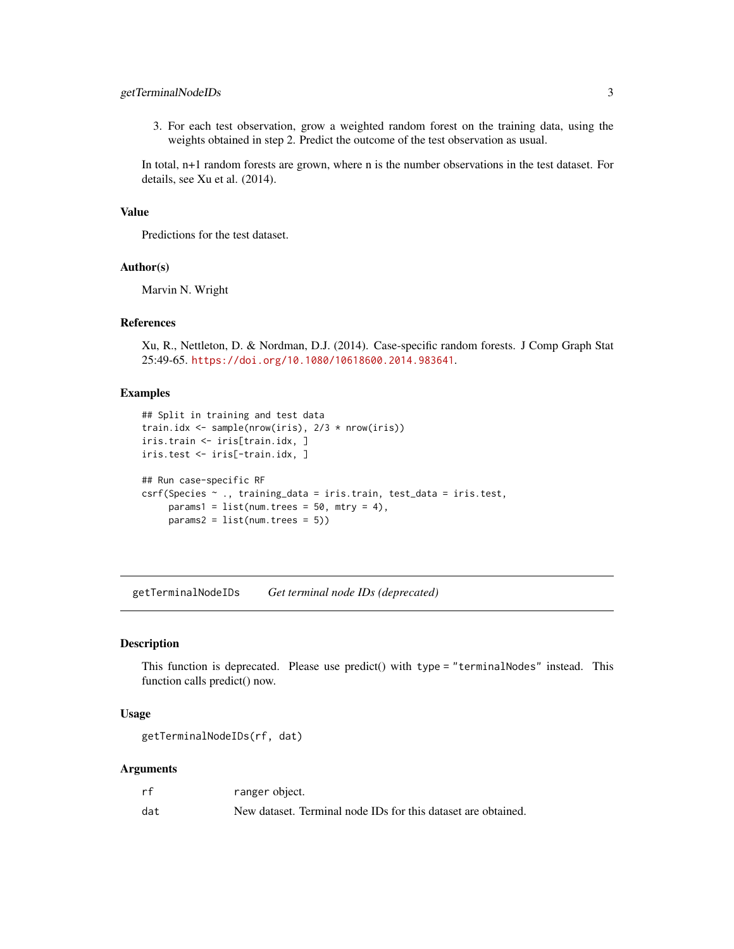# <span id="page-2-0"></span>getTerminalNodeIDs 3

3. For each test observation, grow a weighted random forest on the training data, using the weights obtained in step 2. Predict the outcome of the test observation as usual.

In total, n+1 random forests are grown, where n is the number observations in the test dataset. For details, see Xu et al. (2014).

# Value

Predictions for the test dataset.

#### Author(s)

Marvin N. Wright

# References

Xu, R., Nettleton, D. & Nordman, D.J. (2014). Case-specific random forests. J Comp Graph Stat 25:49-65. <https://doi.org/10.1080/10618600.2014.983641>.

#### Examples

```
## Split in training and test data
train.idx <- sample(nrow(iris), 2/3 * nrow(iris))
iris.train <- iris[train.idx, ]
iris.test <- iris[-train.idx, ]
## Run case-specific RF
csrf(Species ~ ., training_data = iris.train, test_data = iris.test,
     params1 = list(num.trees = 50, mtry = 4),params2 = list(num.trees = 5))
```
getTerminalNodeIDs *Get terminal node IDs (deprecated)*

#### Description

This function is deprecated. Please use predict() with type = "terminalNodes" instead. This function calls predict() now.

#### Usage

getTerminalNodeIDs(rf, dat)

| rf  | ranger object.                                                |
|-----|---------------------------------------------------------------|
| dat | New dataset. Terminal node IDs for this dataset are obtained. |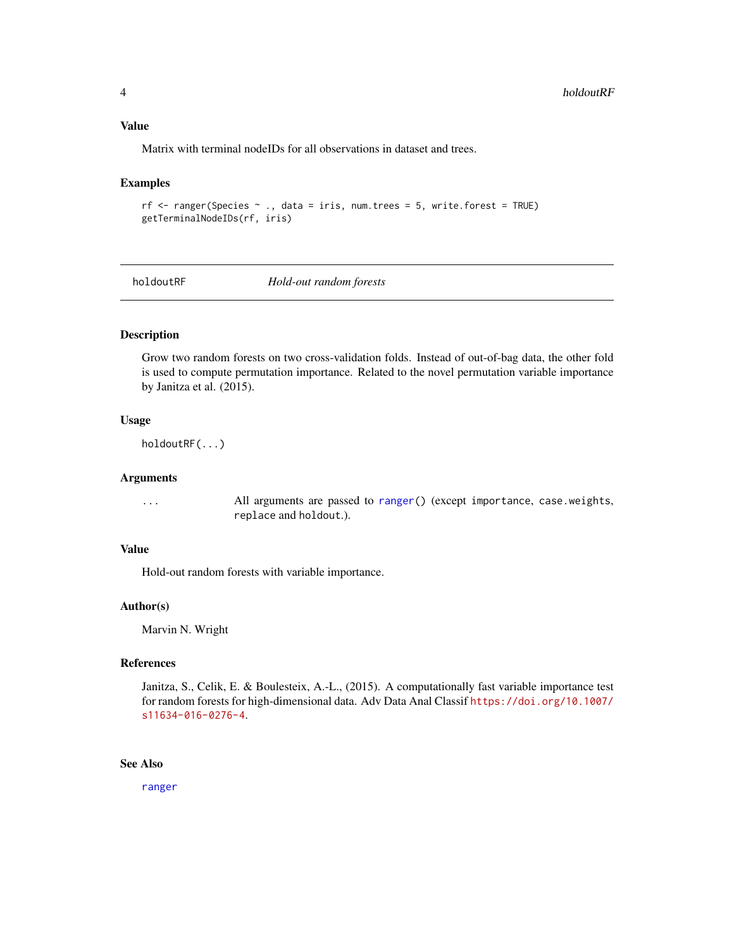# <span id="page-3-0"></span>Value

Matrix with terminal nodeIDs for all observations in dataset and trees.

#### Examples

```
rf <- ranger(Species ~ ., data = iris, num.trees = 5, write.forest = TRUE)
getTerminalNodeIDs(rf, iris)
```
holdoutRF *Hold-out random forests*

# Description

Grow two random forests on two cross-validation folds. Instead of out-of-bag data, the other fold is used to compute permutation importance. Related to the novel permutation variable importance by Janitza et al. (2015).

#### Usage

holdoutRF(...)

#### Arguments

... All arguments are passed to [ranger\(](#page-14-1)) (except importance, case.weights, replace and holdout.).

#### Value

Hold-out random forests with variable importance.

#### Author(s)

Marvin N. Wright

#### References

Janitza, S., Celik, E. & Boulesteix, A.-L., (2015). A computationally fast variable importance test for random forests for high-dimensional data. Adv Data Anal Classif [https://doi.org/10.1007/](https://doi.org/10.1007/s11634-016-0276-4) [s11634-016-0276-4](https://doi.org/10.1007/s11634-016-0276-4).

# See Also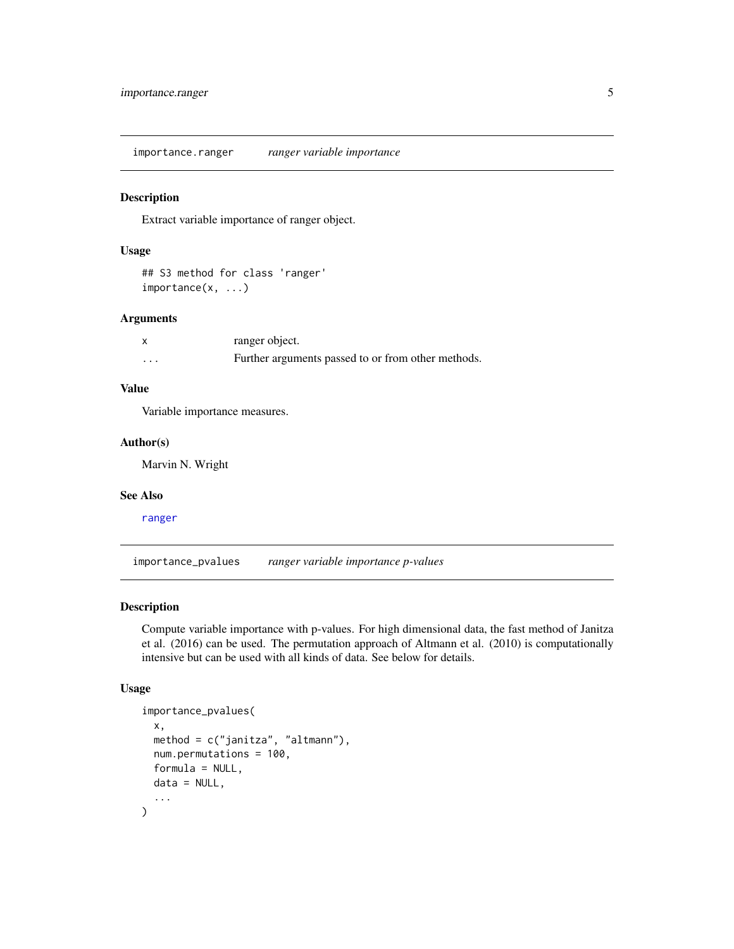<span id="page-4-0"></span>importance.ranger *ranger variable importance*

# Description

Extract variable importance of ranger object.

# Usage

## S3 method for class 'ranger' importance(x, ...)

#### Arguments

|   | ranger object.                                     |
|---|----------------------------------------------------|
| . | Further arguments passed to or from other methods. |

# Value

Variable importance measures.

# Author(s)

Marvin N. Wright

#### See Also

[ranger](#page-14-1)

<span id="page-4-1"></span>importance\_pvalues *ranger variable importance p-values*

# Description

Compute variable importance with p-values. For high dimensional data, the fast method of Janitza et al. (2016) can be used. The permutation approach of Altmann et al. (2010) is computationally intensive but can be used with all kinds of data. See below for details.

# Usage

```
importance_pvalues(
  x,
  method = c("janitza", "altmann"),num.permutations = 100,
  formula = NULL,
  data = NULL,
  ...
\mathcal{E}
```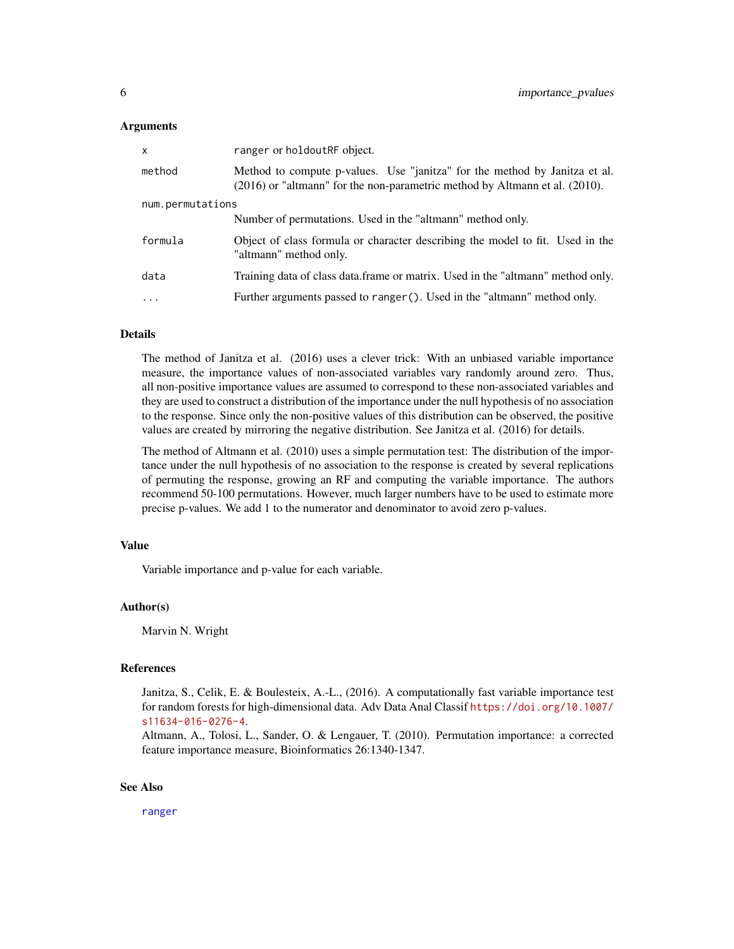#### <span id="page-5-0"></span>Arguments

| X                | ranger or holdoutRF object.                                                                                                                                    |  |  |  |  |
|------------------|----------------------------------------------------------------------------------------------------------------------------------------------------------------|--|--|--|--|
| method           | Method to compute p-values. Use "janitza" for the method by Janitza et al.<br>$(2016)$ or "altmann" for the non-parametric method by Altmann et al. $(2010)$ . |  |  |  |  |
| num.permutations |                                                                                                                                                                |  |  |  |  |
|                  | Number of permutations. Used in the "altmann" method only.                                                                                                     |  |  |  |  |
| formula          | Object of class formula or character describing the model to fit. Used in the<br>"altmann" method only.                                                        |  |  |  |  |
| data             | Training data of class data.frame or matrix. Used in the "altmann" method only.                                                                                |  |  |  |  |
| $\cdots$         | Further arguments passed to ranger (). Used in the "altmann" method only.                                                                                      |  |  |  |  |
|                  |                                                                                                                                                                |  |  |  |  |

#### Details

The method of Janitza et al. (2016) uses a clever trick: With an unbiased variable importance measure, the importance values of non-associated variables vary randomly around zero. Thus, all non-positive importance values are assumed to correspond to these non-associated variables and they are used to construct a distribution of the importance under the null hypothesis of no association to the response. Since only the non-positive values of this distribution can be observed, the positive values are created by mirroring the negative distribution. See Janitza et al. (2016) for details.

The method of Altmann et al. (2010) uses a simple permutation test: The distribution of the importance under the null hypothesis of no association to the response is created by several replications of permuting the response, growing an RF and computing the variable importance. The authors recommend 50-100 permutations. However, much larger numbers have to be used to estimate more precise p-values. We add 1 to the numerator and denominator to avoid zero p-values.

#### Value

Variable importance and p-value for each variable.

#### Author(s)

Marvin N. Wright

#### References

Janitza, S., Celik, E. & Boulesteix, A.-L., (2016). A computationally fast variable importance test for random forests for high-dimensional data. Adv Data Anal Classif [https://doi.org/10.1007/](https://doi.org/10.1007/s11634-016-0276-4) [s11634-016-0276-4](https://doi.org/10.1007/s11634-016-0276-4).

Altmann, A., Tolosi, L., Sander, O. & Lengauer, T. (2010). Permutation importance: a corrected feature importance measure, Bioinformatics 26:1340-1347.

#### See Also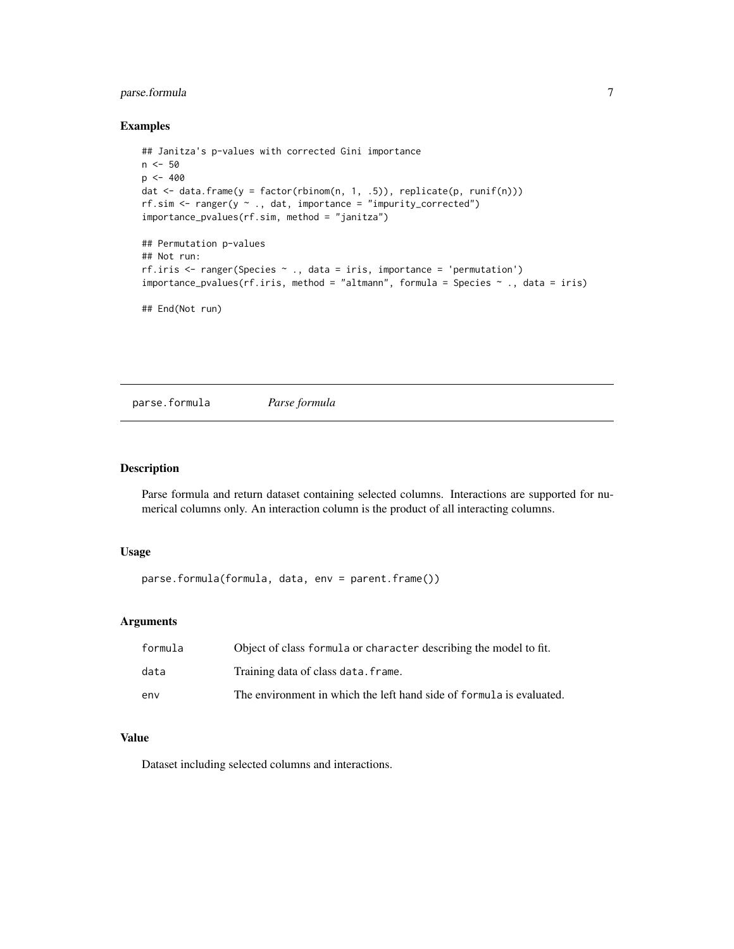# <span id="page-6-0"></span>parse.formula 7

#### Examples

```
## Janitza's p-values with corrected Gini importance
n <- 50
p <- 400
dat <- data.frame(y = factor(rbinom(n, 1, .5)), replicate(p, runif(n)))
rf.\sin \leftarrow \text{ranger}(y \sim ., \text{dat}, \text{importance = "impurity\_corrected")}importance_pvalues(rf.sim, method = "janitza")
## Permutation p-values
## Not run:
rf.iris <- ranger(Species ~ ., data = iris, importance = 'permutation')
importance_pvalues(rf.iris, method = "altmann", formula = Species ~ ., data = iris)
## End(Not run)
```
parse.formula *Parse formula*

# Description

Parse formula and return dataset containing selected columns. Interactions are supported for numerical columns only. An interaction column is the product of all interacting columns.

# Usage

parse.formula(formula, data, env = parent.frame())

#### Arguments

| formula | Object of class formula or character describing the model to fit.    |
|---------|----------------------------------------------------------------------|
| data    | Training data of class data. frame.                                  |
| env     | The environment in which the left hand side of formula is evaluated. |

# Value

Dataset including selected columns and interactions.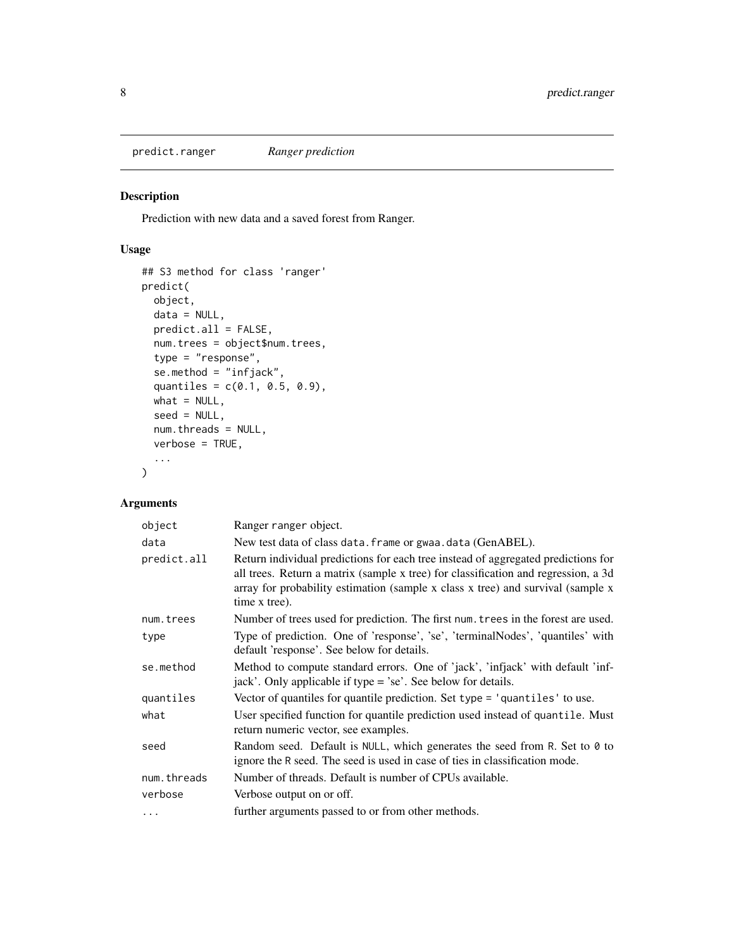<span id="page-7-1"></span><span id="page-7-0"></span>predict.ranger *Ranger prediction*

# Description

Prediction with new data and a saved forest from Ranger.

# Usage

```
## S3 method for class 'ranger'
predict(
 object,
 data = NULL,
 predict.all = FALSE,
 num.trees = object$num.trees,
  type = "response",
  se.method = "infjack",
  quantiles = c(0.1, 0.5, 0.9),
 what = NULL,
 seed = NULL,
 num.threads = NULL,
 verbose = TRUE,
  ...
\mathcal{L}
```

| object      | Ranger ranger object.                                                                                                                                                                                                                                                       |
|-------------|-----------------------------------------------------------------------------------------------------------------------------------------------------------------------------------------------------------------------------------------------------------------------------|
| data        | New test data of class data. frame or gwaa. data (GenABEL).                                                                                                                                                                                                                 |
| predict.all | Return individual predictions for each tree instead of aggregated predictions for<br>all trees. Return a matrix (sample x tree) for classification and regression, a 3d<br>array for probability estimation (sample x class x tree) and survival (sample x<br>time x tree). |
| num.trees   | Number of trees used for prediction. The first num. trees in the forest are used.                                                                                                                                                                                           |
| type        | Type of prediction. One of 'response', 'se', 'terminalNodes', 'quantiles' with<br>default 'response'. See below for details.                                                                                                                                                |
| se.method   | Method to compute standard errors. One of 'jack', 'infjack' with default 'inf-<br>jack'. Only applicable if type = 'se'. See below for details.                                                                                                                             |
| quantiles   | Vector of quantiles for quantile prediction. Set type = 'quantiles' to use.                                                                                                                                                                                                 |
| what        | User specified function for quantile prediction used instead of quantile. Must<br>return numeric vector, see examples.                                                                                                                                                      |
| seed        | Random seed. Default is NULL, which generates the seed from R. Set to $\theta$ to<br>ignore the R seed. The seed is used in case of ties in classification mode.                                                                                                            |
| num.threads | Number of threads. Default is number of CPUs available.                                                                                                                                                                                                                     |
| verbose     | Verbose output on or off.                                                                                                                                                                                                                                                   |
| $\cdots$    | further arguments passed to or from other methods.                                                                                                                                                                                                                          |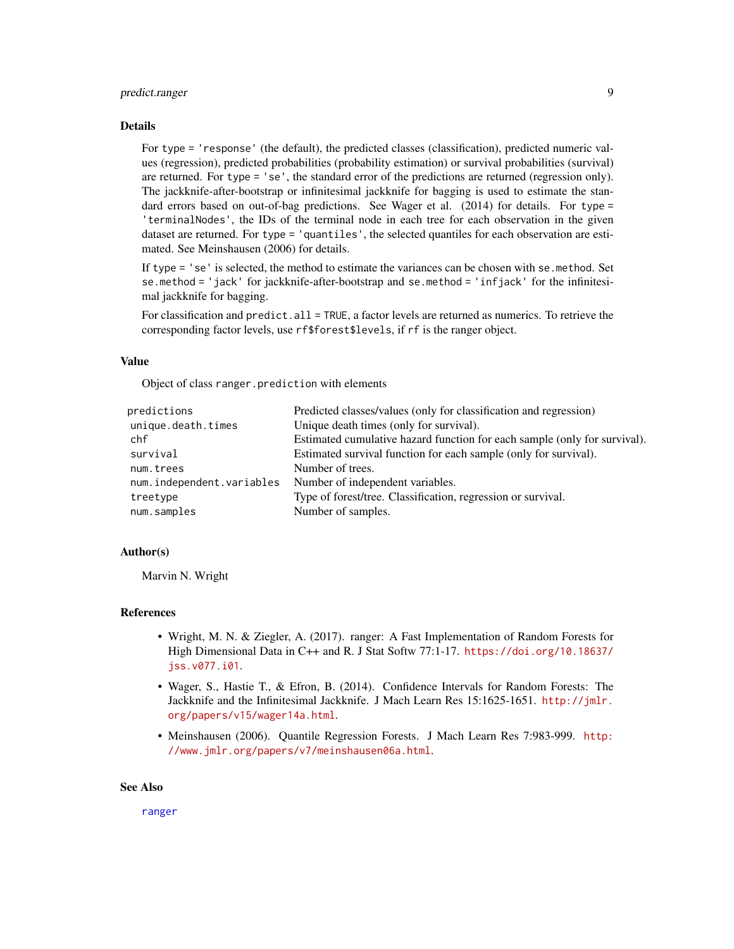# <span id="page-8-0"></span>predict.ranger 9

#### Details

For type = 'response' (the default), the predicted classes (classification), predicted numeric values (regression), predicted probabilities (probability estimation) or survival probabilities (survival) are returned. For type = 'se', the standard error of the predictions are returned (regression only). The jackknife-after-bootstrap or infinitesimal jackknife for bagging is used to estimate the standard errors based on out-of-bag predictions. See Wager et al. (2014) for details. For type = 'terminalNodes', the IDs of the terminal node in each tree for each observation in the given dataset are returned. For type = 'quantiles', the selected quantiles for each observation are estimated. See Meinshausen (2006) for details.

If type = 'se' is selected, the method to estimate the variances can be chosen with se.method. Set se.method = 'jack' for jackknife-after-bootstrap and se.method = 'infjack' for the infinitesimal jackknife for bagging.

For classification and predict. all = TRUE, a factor levels are returned as numerics. To retrieve the corresponding factor levels, use rf\$forest\$levels, if rf is the ranger object.

# Value

Object of class ranger.prediction with elements

| predictions               | Predicted classes/values (only for classification and regression)         |
|---------------------------|---------------------------------------------------------------------------|
| unique.death.times        | Unique death times (only for survival).                                   |
| chf                       | Estimated cumulative hazard function for each sample (only for survival). |
| survival                  | Estimated survival function for each sample (only for survival).          |
| num.trees                 | Number of trees.                                                          |
| num.independent.variables | Number of independent variables.                                          |
| treetype                  | Type of forest/tree. Classification, regression or survival.              |
| num.samples               | Number of samples.                                                        |

#### Author(s)

Marvin N. Wright

# References

- Wright, M. N. & Ziegler, A. (2017). ranger: A Fast Implementation of Random Forests for High Dimensional Data in C++ and R. J Stat Softw 77:1-17. [https://doi.org/10.18637/](https://doi.org/10.18637/jss.v077.i01) [jss.v077.i01](https://doi.org/10.18637/jss.v077.i01).
- Wager, S., Hastie T., & Efron, B. (2014). Confidence Intervals for Random Forests: The Jackknife and the Infinitesimal Jackknife. J Mach Learn Res 15:1625-1651. [http://jmlr.](http://jmlr.org/papers/v15/wager14a.html) [org/papers/v15/wager14a.html](http://jmlr.org/papers/v15/wager14a.html).
- Meinshausen (2006). Quantile Regression Forests. J Mach Learn Res 7:983-999. [http:](http://www.jmlr.org/papers/v7/meinshausen06a.html) [//www.jmlr.org/papers/v7/meinshausen06a.html](http://www.jmlr.org/papers/v7/meinshausen06a.html).

#### See Also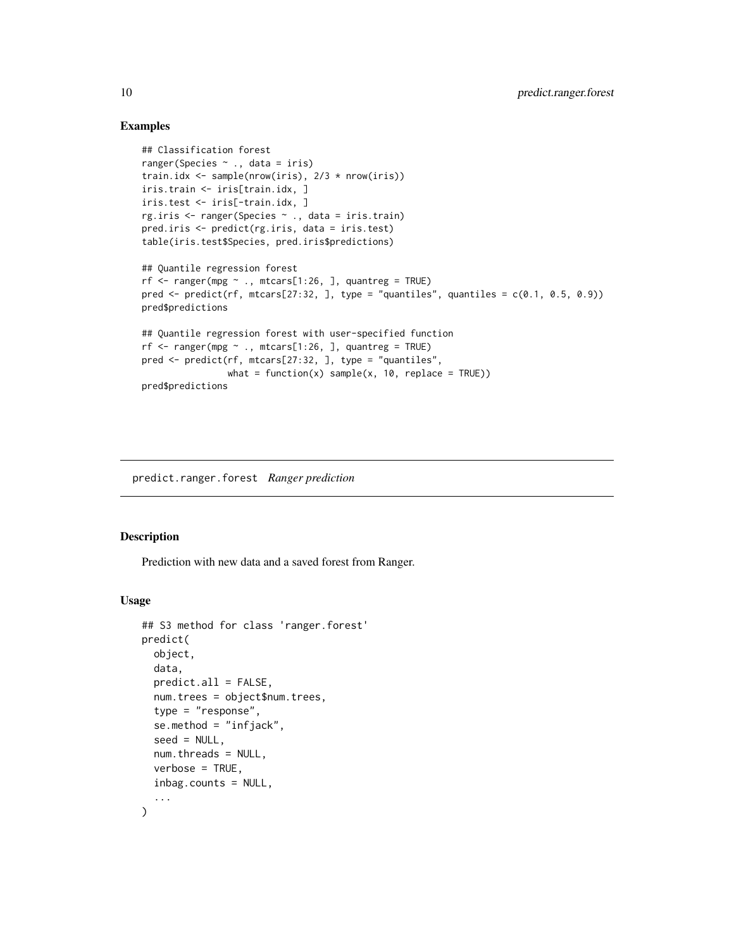#### Examples

```
## Classification forest
ranger(Species ~ ., data = iris)
train.idx <- sample(nrow(iris), 2/3 * nrow(iris))
iris.train <- iris[train.idx, ]
iris.test <- iris[-train.idx, ]
rg.iris <- ranger(Species ~ ., data = iris.train)
pred.iris <- predict(rg.iris, data = iris.test)
table(iris.test$Species, pred.iris$predictions)
## Quantile regression forest
rf <- ranger(mpg \sim ., mtcars[1:26, ], quantreg = TRUE)
pred \le predict(rf, mtcars[27:32, ], type = "quantiles", quantiles = c(0.1, 0.5, 0.9))
pred$predictions
## Quantile regression forest with user-specified function
rf \leftarrow range(rmpg \sim ., mtcars[1:26, ], quantreg = TRUE)pred <- predict(rf, mtcars[27:32, ], type = "quantiles",
                what = function(x) sample(x, 10, replace = TRUE))
pred$predictions
```
predict.ranger.forest *Ranger prediction*

#### Description

Prediction with new data and a saved forest from Ranger.

#### Usage

```
## S3 method for class 'ranger.forest'
predict(
 object,
 data,
  predict.al1 = FALSE,num.trees = object$num.trees,
  type = "response",
  se.method = "infjack",
  seed = NULL,
 num.threads = NULL,
  verbose = TRUE,
  inbag.counts = NULL,
  ...
)
```
<span id="page-9-0"></span>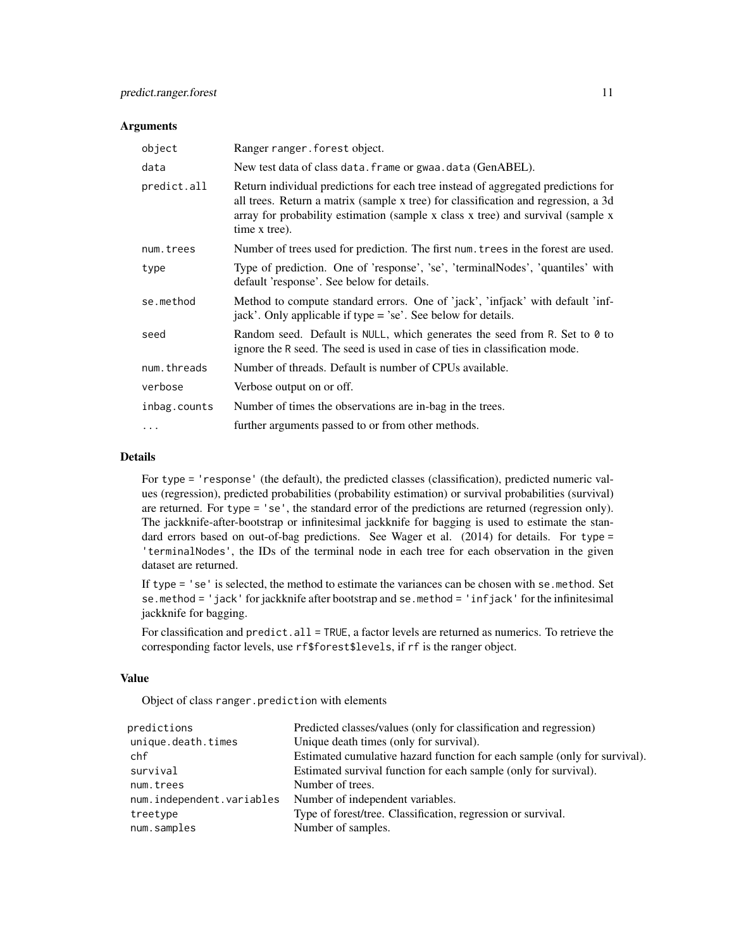#### Arguments

| object       | Ranger ranger. forest object.                                                                                                                                                                                                                                               |
|--------------|-----------------------------------------------------------------------------------------------------------------------------------------------------------------------------------------------------------------------------------------------------------------------------|
| data         | New test data of class data. frame or gwaa. data (GenABEL).                                                                                                                                                                                                                 |
| predict.all  | Return individual predictions for each tree instead of aggregated predictions for<br>all trees. Return a matrix (sample x tree) for classification and regression, a 3d<br>array for probability estimation (sample x class x tree) and survival (sample x<br>time x tree). |
| num.trees    | Number of trees used for prediction. The first num. trees in the forest are used.                                                                                                                                                                                           |
| type         | Type of prediction. One of 'response', 'se', 'terminalNodes', 'quantiles' with<br>default 'response'. See below for details.                                                                                                                                                |
| se.method    | Method to compute standard errors. One of 'jack', 'infjack' with default 'inf-<br>jack'. Only applicable if type = 'se'. See below for details.                                                                                                                             |
| seed         | Random seed. Default is NULL, which generates the seed from R. Set to 0 to<br>ignore the R seed. The seed is used in case of ties in classification mode.                                                                                                                   |
| num.threads  | Number of threads. Default is number of CPUs available.                                                                                                                                                                                                                     |
| verbose      | Verbose output on or off.                                                                                                                                                                                                                                                   |
| inbag.counts | Number of times the observations are in-bag in the trees.                                                                                                                                                                                                                   |
| .            | further arguments passed to or from other methods.                                                                                                                                                                                                                          |

# Details

For type = 'response' (the default), the predicted classes (classification), predicted numeric values (regression), predicted probabilities (probability estimation) or survival probabilities (survival) are returned. For type = 'se', the standard error of the predictions are returned (regression only). The jackknife-after-bootstrap or infinitesimal jackknife for bagging is used to estimate the standard errors based on out-of-bag predictions. See Wager et al. (2014) for details. For type = 'terminalNodes', the IDs of the terminal node in each tree for each observation in the given dataset are returned.

If type = 'se' is selected, the method to estimate the variances can be chosen with se.method. Set se.method = 'jack' for jackknife after bootstrap and se.method = 'infjack' for the infinitesimal jackknife for bagging.

For classification and predict.all = TRUE, a factor levels are returned as numerics. To retrieve the corresponding factor levels, use rf\$forest\$levels, if rf is the ranger object.

# Value

Object of class ranger.prediction with elements

| predictions               | Predicted classes/values (only for classification and regression)         |
|---------------------------|---------------------------------------------------------------------------|
| unique.death.times        | Unique death times (only for survival).                                   |
| chf                       | Estimated cumulative hazard function for each sample (only for survival). |
| survival                  | Estimated survival function for each sample (only for survival).          |
| num.trees                 | Number of trees.                                                          |
| num.independent.variables | Number of independent variables.                                          |
| treetype                  | Type of forest/tree. Classification, regression or survival.              |
| num.samples               | Number of samples.                                                        |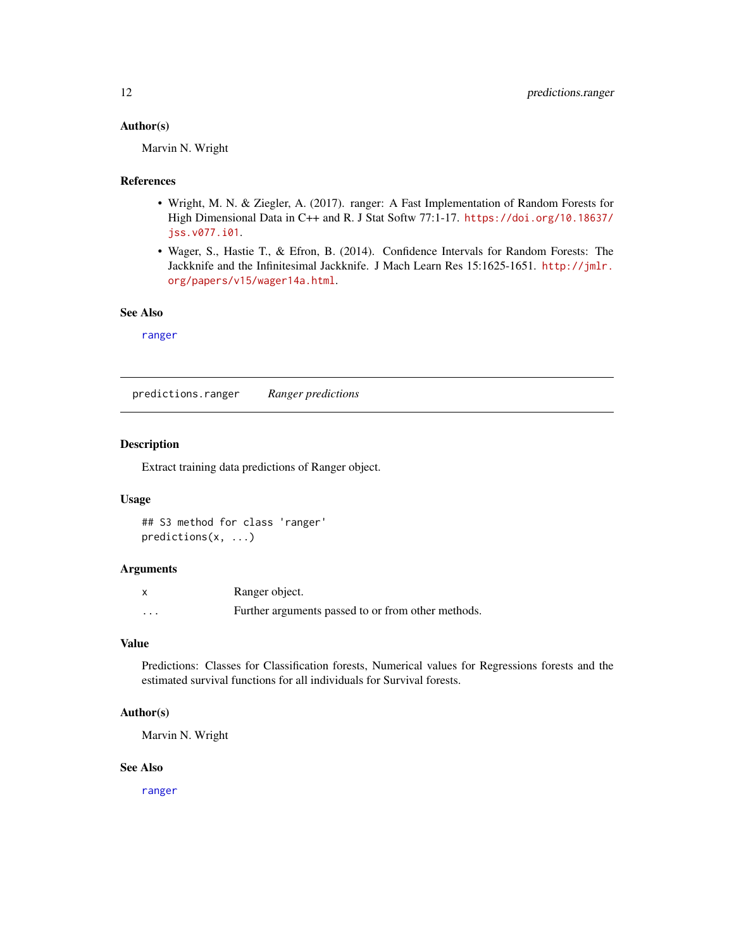# <span id="page-11-0"></span>Author(s)

Marvin N. Wright

# References

- Wright, M. N. & Ziegler, A. (2017). ranger: A Fast Implementation of Random Forests for High Dimensional Data in C++ and R. J Stat Softw 77:1-17. [https://doi.org/10.18637/](https://doi.org/10.18637/jss.v077.i01) [jss.v077.i01](https://doi.org/10.18637/jss.v077.i01).
- Wager, S., Hastie T., & Efron, B. (2014). Confidence Intervals for Random Forests: The Jackknife and the Infinitesimal Jackknife. J Mach Learn Res 15:1625-1651. [http://jmlr.](http://jmlr.org/papers/v15/wager14a.html) [org/papers/v15/wager14a.html](http://jmlr.org/papers/v15/wager14a.html).

# See Also

[ranger](#page-14-1)

predictions.ranger *Ranger predictions*

#### Description

Extract training data predictions of Ranger object.

#### Usage

```
## S3 method for class 'ranger'
predictions(x, ...)
```
#### **Arguments**

|          | Ranger object.                                     |
|----------|----------------------------------------------------|
| $\cdots$ | Further arguments passed to or from other methods. |

## Value

Predictions: Classes for Classification forests, Numerical values for Regressions forests and the estimated survival functions for all individuals for Survival forests.

# Author(s)

Marvin N. Wright

#### See Also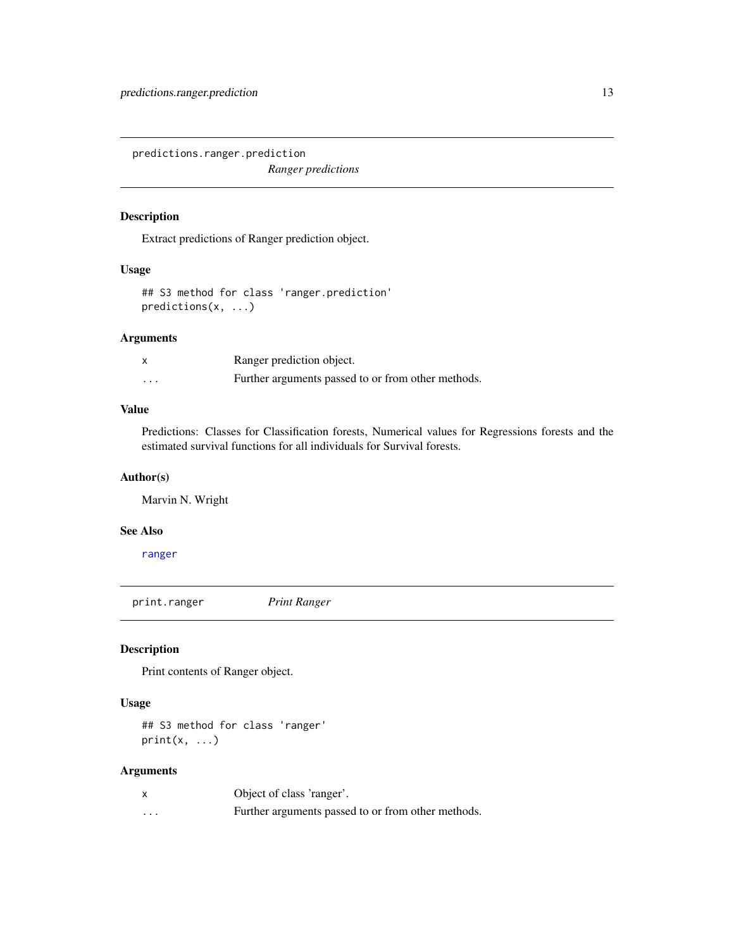<span id="page-12-0"></span>predictions.ranger.prediction *Ranger predictions*

# Description

Extract predictions of Ranger prediction object.

# Usage

## S3 method for class 'ranger.prediction' predictions(x, ...)

#### Arguments

|          | Ranger prediction object.                          |
|----------|----------------------------------------------------|
| $\cdots$ | Further arguments passed to or from other methods. |

# Value

Predictions: Classes for Classification forests, Numerical values for Regressions forests and the estimated survival functions for all individuals for Survival forests.

#### Author(s)

Marvin N. Wright

#### See Also

[ranger](#page-14-1)

print.ranger *Print Ranger*

# Description

Print contents of Ranger object.

#### Usage

## S3 method for class 'ranger'  $print(x, \ldots)$ 

|   | Object of class 'ranger'.                          |
|---|----------------------------------------------------|
| . | Further arguments passed to or from other methods. |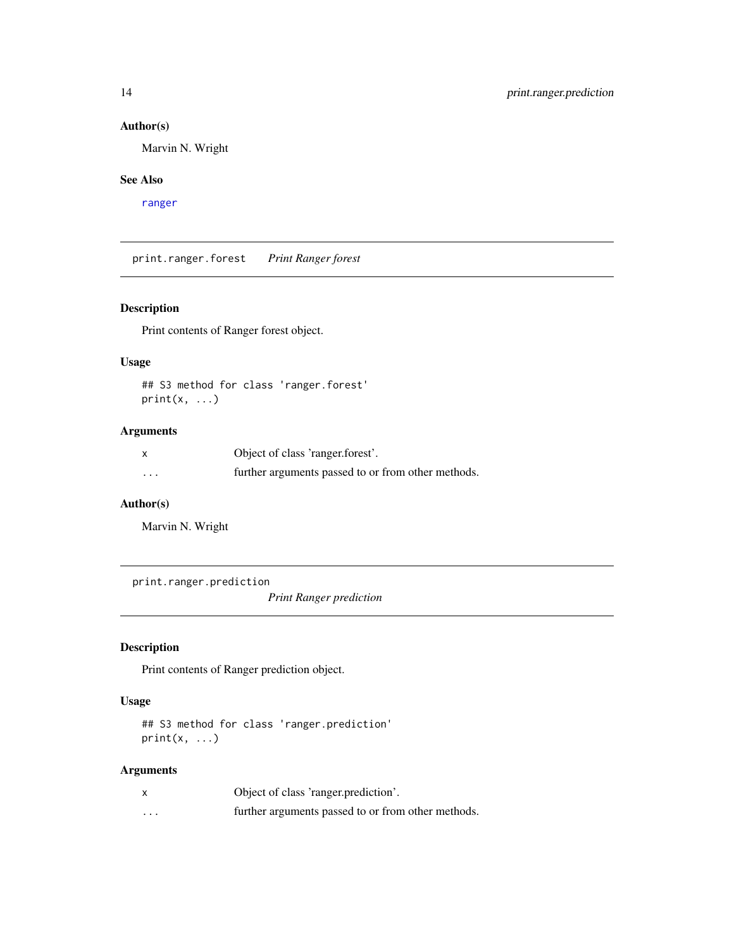# Author(s)

Marvin N. Wright

## See Also

[ranger](#page-14-1)

print.ranger.forest *Print Ranger forest*

# Description

Print contents of Ranger forest object.

# Usage

## S3 method for class 'ranger.forest'  $print(x, \ldots)$ 

# Arguments

|          | Object of class 'ranger.forest'.                   |
|----------|----------------------------------------------------|
| $\cdots$ | further arguments passed to or from other methods. |

# Author(s)

Marvin N. Wright

print.ranger.prediction

*Print Ranger prediction*

# Description

Print contents of Ranger prediction object.

# Usage

## S3 method for class 'ranger.prediction'  $print(x, \ldots)$ 

| X        | Object of class 'ranger.prediction'.               |
|----------|----------------------------------------------------|
| $\cdots$ | further arguments passed to or from other methods. |

<span id="page-13-0"></span>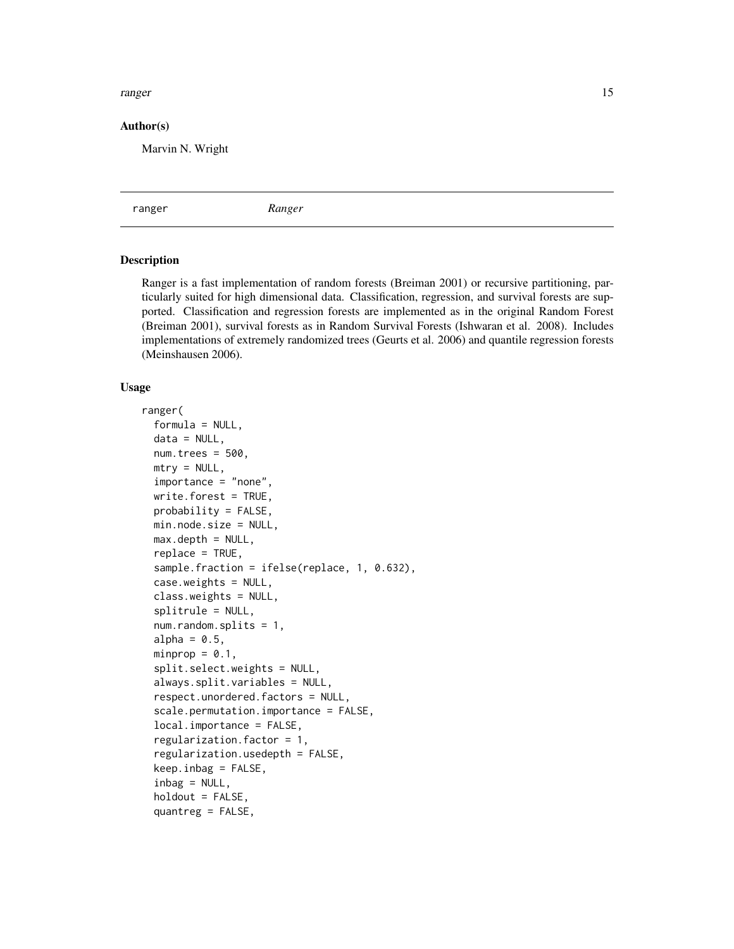#### <span id="page-14-0"></span>ranger and the state of the state of the state of the state of the state of the state of the state of the state of the state of the state of the state of the state of the state of the state of the state of the state of the

#### Author(s)

Marvin N. Wright

<span id="page-14-1"></span>ranger *Ranger*

#### Description

Ranger is a fast implementation of random forests (Breiman 2001) or recursive partitioning, particularly suited for high dimensional data. Classification, regression, and survival forests are supported. Classification and regression forests are implemented as in the original Random Forest (Breiman 2001), survival forests as in Random Survival Forests (Ishwaran et al. 2008). Includes implementations of extremely randomized trees (Geurts et al. 2006) and quantile regression forests (Meinshausen 2006).

#### Usage

```
ranger(
  formula = NULL,data = NULL,num.trees = 500,
 mtry = NULL,importance = "none",
 write.forest = TRUE,probability = FALSE,
 min.node.size = NULL,
 max.depth = NULL,replace = TRUE,
 sample.fraction = ifelse(replace, 1, 0.632),
  case.weights = NULL,
  class.weights = NULL,
  splitrule = NULL,
  num.random.splits = 1,
  alpha = 0.5,
 minprop = 0.1,
  split.select.weights = NULL,
  always.split.variables = NULL,
  respect.unordered.factors = NULL,
  scale.permutation.importance = FALSE,
  local.importance = FALSE,
  regularization.factor = 1,
  regularization.usedepth = FALSE,
  keep.inbag = FALSE,inbag = NULL,holdout = FALSE,
  quantreg = FALSE,
```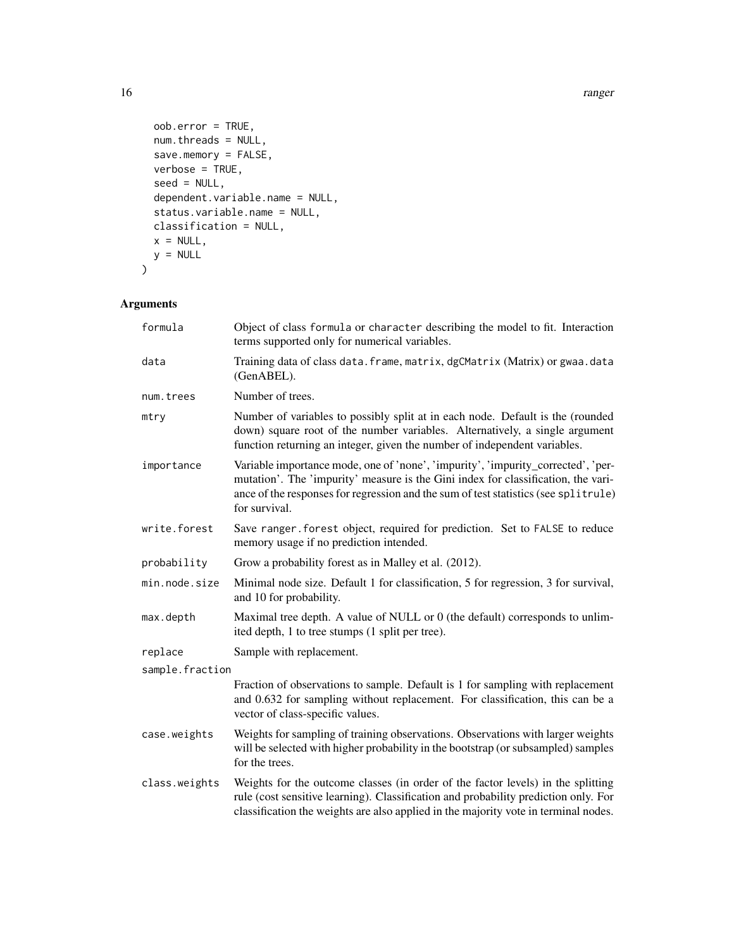```
oob.error = TRUE,
 num.threads = NULL,
 save.memory = FALSE,
 verbose = TRUE,
  seed = NULL,
 dependent.variable.name = NULL,
  status.variable.name = NULL,
 classification = NULL,
 x = NULL,y = NULL\mathcal{L}
```

| formula         | Object of class formula or character describing the model to fit. Interaction<br>terms supported only for numerical variables.                                                                                                                                                |
|-----------------|-------------------------------------------------------------------------------------------------------------------------------------------------------------------------------------------------------------------------------------------------------------------------------|
| data            | Training data of class data. frame, matrix, dgCMatrix (Matrix) or gwaa. data<br>(GenABEL).                                                                                                                                                                                    |
| num.trees       | Number of trees.                                                                                                                                                                                                                                                              |
| mtry            | Number of variables to possibly split at in each node. Default is the (rounded<br>down) square root of the number variables. Alternatively, a single argument<br>function returning an integer, given the number of independent variables.                                    |
| importance      | Variable importance mode, one of 'none', 'impurity', 'impurity_corrected', 'per-<br>mutation'. The 'impurity' measure is the Gini index for classification, the vari-<br>ance of the responses for regression and the sum of test statistics (see splitrule)<br>for survival. |
| write.forest    | Save ranger. forest object, required for prediction. Set to FALSE to reduce<br>memory usage if no prediction intended.                                                                                                                                                        |
| probability     | Grow a probability forest as in Malley et al. (2012).                                                                                                                                                                                                                         |
| min.node.size   | Minimal node size. Default 1 for classification, 5 for regression, 3 for survival,<br>and 10 for probability.                                                                                                                                                                 |
| max.depth       | Maximal tree depth. A value of NULL or 0 (the default) corresponds to unlim-<br>ited depth, 1 to tree stumps (1 split per tree).                                                                                                                                              |
| replace         | Sample with replacement.                                                                                                                                                                                                                                                      |
| sample.fraction |                                                                                                                                                                                                                                                                               |
|                 | Fraction of observations to sample. Default is 1 for sampling with replacement<br>and 0.632 for sampling without replacement. For classification, this can be a<br>vector of class-specific values.                                                                           |
| case.weights    | Weights for sampling of training observations. Observations with larger weights<br>will be selected with higher probability in the bootstrap (or subsampled) samples<br>for the trees.                                                                                        |
| class.weights   | Weights for the outcome classes (in order of the factor levels) in the splitting<br>rule (cost sensitive learning). Classification and probability prediction only. For<br>classification the weights are also applied in the majority vote in terminal nodes.                |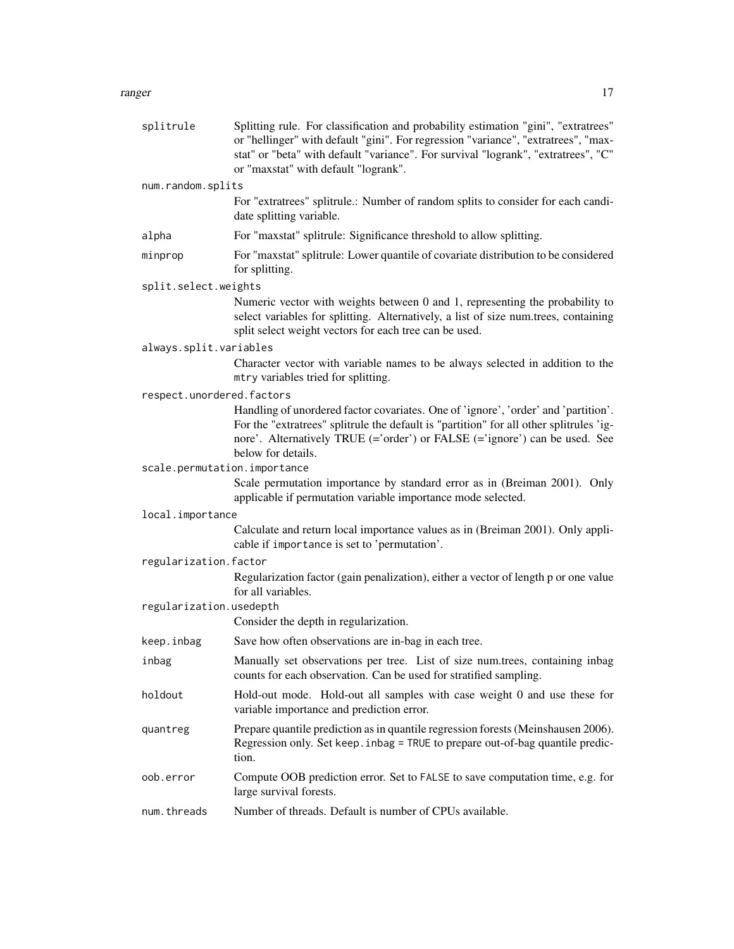#### ranger and the contract of the contract of the contract of the contract of the contract of the contract of the contract of the contract of the contract of the contract of the contract of the contract of the contract of the

| splitrule                    | Splitting rule. For classification and probability estimation "gini", "extratrees"<br>or "hellinger" with default "gini". For regression "variance", "extratrees", "max-<br>stat" or "beta" with default "variance". For survival "logrank", "extratrees", "C"<br>or "maxstat" with default "logrank". |
|------------------------------|--------------------------------------------------------------------------------------------------------------------------------------------------------------------------------------------------------------------------------------------------------------------------------------------------------|
| num.random.splits            |                                                                                                                                                                                                                                                                                                        |
|                              | For "extratrees" splitrule.: Number of random splits to consider for each candi-<br>date splitting variable.                                                                                                                                                                                           |
| alpha                        | For "maxstat" splitrule: Significance threshold to allow splitting.                                                                                                                                                                                                                                    |
| minprop                      | For "maxstat" splitrule: Lower quantile of covariate distribution to be considered<br>for splitting.                                                                                                                                                                                                   |
| split.select.weights         |                                                                                                                                                                                                                                                                                                        |
|                              | Numeric vector with weights between 0 and 1, representing the probability to<br>select variables for splitting. Alternatively, a list of size num.trees, containing<br>split select weight vectors for each tree can be used.                                                                          |
| always.split.variables       |                                                                                                                                                                                                                                                                                                        |
|                              | Character vector with variable names to be always selected in addition to the<br>mtry variables tried for splitting.                                                                                                                                                                                   |
| respect.unordered.factors    |                                                                                                                                                                                                                                                                                                        |
|                              | Handling of unordered factor covariates. One of 'ignore', 'order' and 'partition'.<br>For the "extratrees" splitrule the default is "partition" for all other splitrules 'ig-<br>nore'. Alternatively TRUE (='order') or FALSE (='ignore') can be used. See<br>below for details.                      |
| scale.permutation.importance |                                                                                                                                                                                                                                                                                                        |
|                              | Scale permutation importance by standard error as in (Breiman 2001). Only<br>applicable if permutation variable importance mode selected.                                                                                                                                                              |
| local.importance             |                                                                                                                                                                                                                                                                                                        |
|                              | Calculate and return local importance values as in (Breiman 2001). Only appli-<br>cable if importance is set to 'permutation'.                                                                                                                                                                         |
| regularization.factor        |                                                                                                                                                                                                                                                                                                        |
|                              | Regularization factor (gain penalization), either a vector of length p or one value<br>for all variables.                                                                                                                                                                                              |
| regularization.usedepth      |                                                                                                                                                                                                                                                                                                        |
|                              | Consider the depth in regularization.                                                                                                                                                                                                                                                                  |
| keep.inbag                   | Save how often observations are in-bag in each tree.                                                                                                                                                                                                                                                   |
| inbag                        | Manually set observations per tree. List of size num.trees, containing inbag<br>counts for each observation. Can be used for stratified sampling.                                                                                                                                                      |
| holdout                      | Hold-out mode. Hold-out all samples with case weight 0 and use these for<br>variable importance and prediction error.                                                                                                                                                                                  |
| quantreg                     | Prepare quantile prediction as in quantile regression forests (Meinshausen 2006).<br>Regression only. Set keep. inbag = TRUE to prepare out-of-bag quantile predic-<br>tion.                                                                                                                           |
| oob.error                    | Compute OOB prediction error. Set to FALSE to save computation time, e.g. for<br>large survival forests.                                                                                                                                                                                               |
| num.threads                  | Number of threads. Default is number of CPUs available.                                                                                                                                                                                                                                                |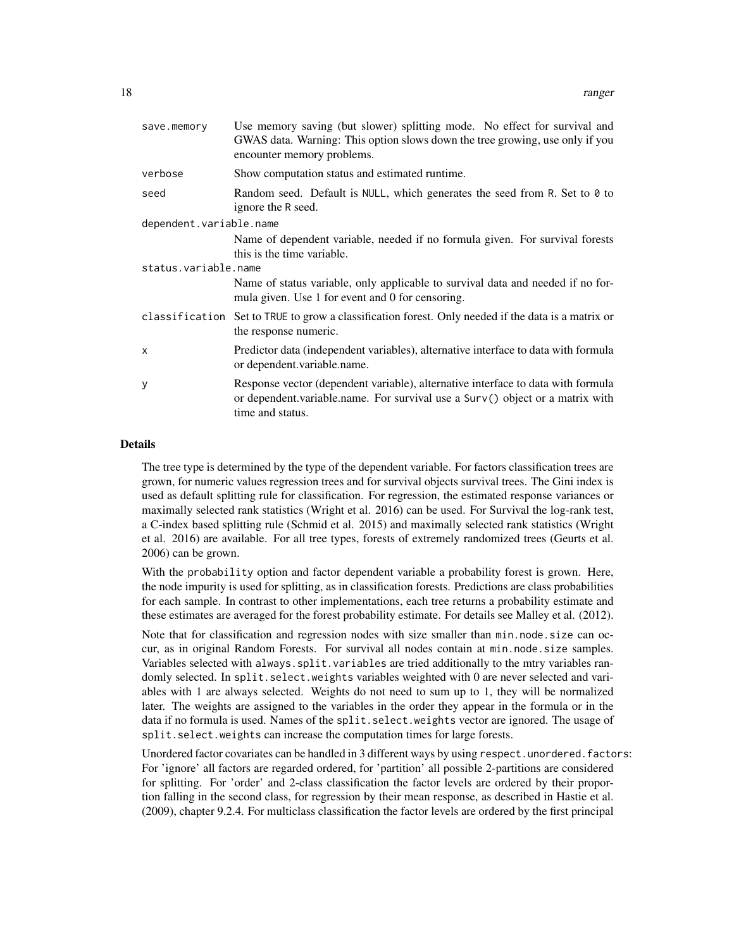| save.memory             | Use memory saving (but slower) splitting mode. No effect for survival and<br>GWAS data. Warning: This option slows down the tree growing, use only if you<br>encounter memory problems. |  |
|-------------------------|-----------------------------------------------------------------------------------------------------------------------------------------------------------------------------------------|--|
| verbose                 | Show computation status and estimated runtime.                                                                                                                                          |  |
| seed                    | Random seed. Default is NULL, which generates the seed from R. Set to 0 to<br>ignore the R seed.                                                                                        |  |
| dependent.variable.name |                                                                                                                                                                                         |  |
|                         | Name of dependent variable, needed if no formula given. For survival forests<br>this is the time variable.                                                                              |  |
| status.variable.name    |                                                                                                                                                                                         |  |
|                         | Name of status variable, only applicable to survival data and needed if no for-<br>mula given. Use 1 for event and 0 for censoring.                                                     |  |
|                         | classification Set to TRUE to grow a classification forest. Only needed if the data is a matrix or<br>the response numeric.                                                             |  |
| $\mathsf{x}$            | Predictor data (independent variables), alternative interface to data with formula<br>or dependent.variable.name.                                                                       |  |
| У                       | Response vector (dependent variable), alternative interface to data with formula<br>or dependent variable name. For survival use a Surv() object or a matrix with<br>time and status.   |  |

#### Details

The tree type is determined by the type of the dependent variable. For factors classification trees are grown, for numeric values regression trees and for survival objects survival trees. The Gini index is used as default splitting rule for classification. For regression, the estimated response variances or maximally selected rank statistics (Wright et al. 2016) can be used. For Survival the log-rank test, a C-index based splitting rule (Schmid et al. 2015) and maximally selected rank statistics (Wright et al. 2016) are available. For all tree types, forests of extremely randomized trees (Geurts et al. 2006) can be grown.

With the probability option and factor dependent variable a probability forest is grown. Here, the node impurity is used for splitting, as in classification forests. Predictions are class probabilities for each sample. In contrast to other implementations, each tree returns a probability estimate and these estimates are averaged for the forest probability estimate. For details see Malley et al. (2012).

Note that for classification and regression nodes with size smaller than min.node.size can occur, as in original Random Forests. For survival all nodes contain at min.node.size samples. Variables selected with always.split.variables are tried additionally to the mtry variables randomly selected. In split.select.weights variables weighted with 0 are never selected and variables with 1 are always selected. Weights do not need to sum up to 1, they will be normalized later. The weights are assigned to the variables in the order they appear in the formula or in the data if no formula is used. Names of the split. select. weights vector are ignored. The usage of split.select.weights can increase the computation times for large forests.

Unordered factor covariates can be handled in 3 different ways by using respect.unordered.factors: For 'ignore' all factors are regarded ordered, for 'partition' all possible 2-partitions are considered for splitting. For 'order' and 2-class classification the factor levels are ordered by their proportion falling in the second class, for regression by their mean response, as described in Hastie et al. (2009), chapter 9.2.4. For multiclass classification the factor levels are ordered by the first principal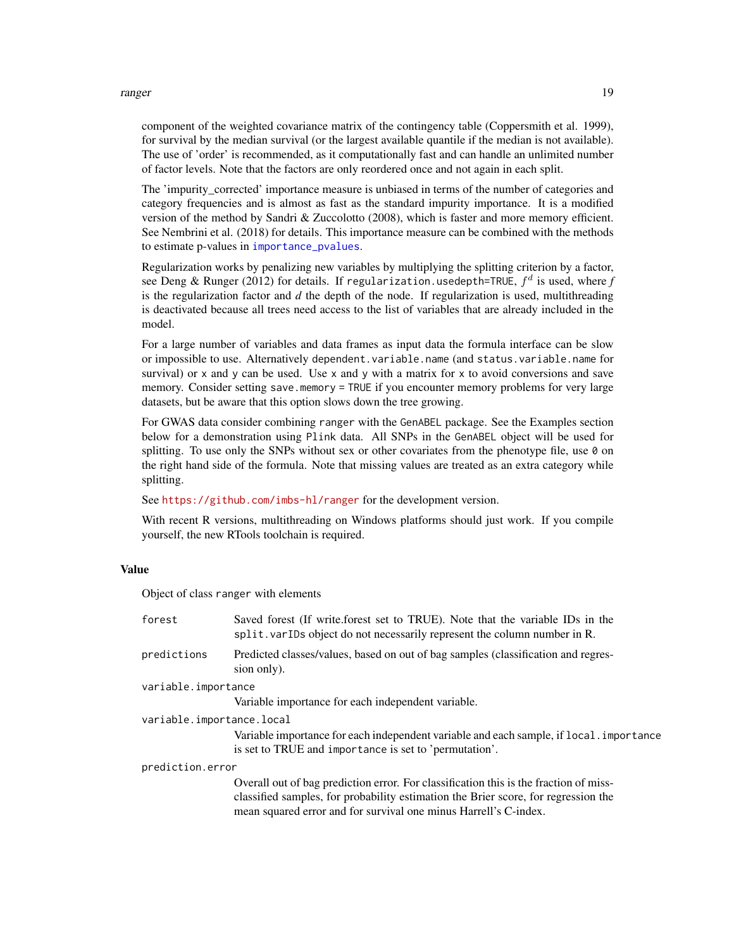#### <span id="page-18-0"></span>ranger and the state of the state of the state of the state of the state of the state of the state of the state of the state of the state of the state of the state of the state of the state of the state of the state of the

component of the weighted covariance matrix of the contingency table (Coppersmith et al. 1999), for survival by the median survival (or the largest available quantile if the median is not available). The use of 'order' is recommended, as it computationally fast and can handle an unlimited number of factor levels. Note that the factors are only reordered once and not again in each split.

The 'impurity corrected' importance measure is unbiased in terms of the number of categories and category frequencies and is almost as fast as the standard impurity importance. It is a modified version of the method by Sandri & Zuccolotto (2008), which is faster and more memory efficient. See Nembrini et al. (2018) for details. This importance measure can be combined with the methods to estimate p-values in [importance\\_pvalues](#page-4-1).

Regularization works by penalizing new variables by multiplying the splitting criterion by a factor, see Deng & Runger (2012) for details. If regularization.usedepth=TRUE,  $f^d$  is used, where  $f$ is the regularization factor and *d* the depth of the node. If regularization is used, multithreading is deactivated because all trees need access to the list of variables that are already included in the model.

For a large number of variables and data frames as input data the formula interface can be slow or impossible to use. Alternatively dependent.variable.name (and status.variable.name for survival) or x and y can be used. Use x and y with a matrix for x to avoid conversions and save memory. Consider setting save.memory = TRUE if you encounter memory problems for very large datasets, but be aware that this option slows down the tree growing.

For GWAS data consider combining ranger with the GenABEL package. See the Examples section below for a demonstration using Plink data. All SNPs in the GenABEL object will be used for splitting. To use only the SNPs without sex or other covariates from the phenotype file, use  $\theta$  on the right hand side of the formula. Note that missing values are treated as an extra category while splitting.

See <https://github.com/imbs-hl/ranger> for the development version.

With recent R versions, multithreading on Windows platforms should just work. If you compile yourself, the new RTools toolchain is required.

#### Value

Object of class ranger with elements

| forest                    | Saved forest (If write forest set to TRUE). Note that the variable IDs in the<br>split. varIDs object do not necessarily represent the column number in R.                                                                                      |
|---------------------------|-------------------------------------------------------------------------------------------------------------------------------------------------------------------------------------------------------------------------------------------------|
| predictions               | Predicted classes/values, based on out of bag samples (classification and regres-<br>sion only).                                                                                                                                                |
| variable.importance       |                                                                                                                                                                                                                                                 |
|                           | Variable importance for each independent variable.                                                                                                                                                                                              |
| variable.importance.local |                                                                                                                                                                                                                                                 |
|                           | Variable importance for each independent variable and each sample, if local importance<br>is set to TRUE and importance is set to 'permutation'.                                                                                                |
| prediction.error          |                                                                                                                                                                                                                                                 |
|                           | Overall out of bag prediction error. For classification this is the fraction of miss-<br>classified samples, for probability estimation the Brier score, for regression the<br>mean squared error and for survival one minus Harrell's C-index. |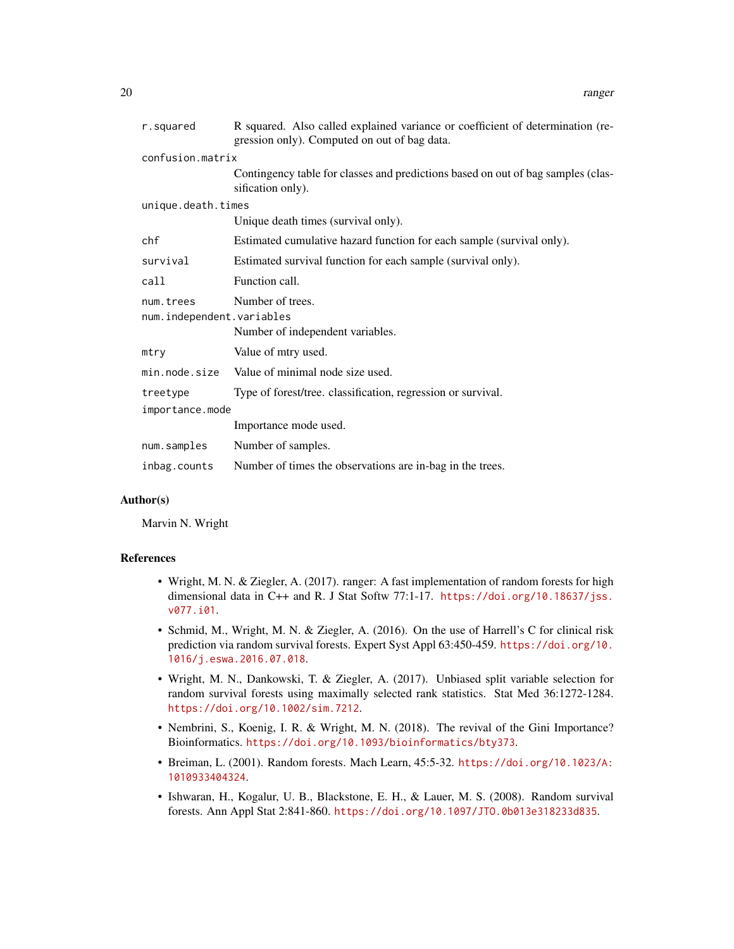| r.squared                                                                                      | R squared. Also called explained variance or coefficient of determination (re-<br>gression only). Computed on out of bag data. |  |
|------------------------------------------------------------------------------------------------|--------------------------------------------------------------------------------------------------------------------------------|--|
| confusion.matrix                                                                               |                                                                                                                                |  |
|                                                                                                | Contingency table for classes and predictions based on out of bag samples (clas-<br>sification only).                          |  |
| unique.death.times                                                                             |                                                                                                                                |  |
|                                                                                                | Unique death times (survival only).                                                                                            |  |
| chf                                                                                            | Estimated cumulative hazard function for each sample (survival only).                                                          |  |
| survival                                                                                       | Estimated survival function for each sample (survival only).                                                                   |  |
| call                                                                                           | Function call.                                                                                                                 |  |
| Number of trees.<br>num.trees<br>num.independent.variables<br>Number of independent variables. |                                                                                                                                |  |
| mtry                                                                                           | Value of mtry used.                                                                                                            |  |
| min.node.size                                                                                  | Value of minimal node size used.                                                                                               |  |
| treetype                                                                                       | Type of forest/tree. classification, regression or survival.                                                                   |  |
| importance.mode                                                                                |                                                                                                                                |  |
|                                                                                                | Importance mode used.                                                                                                          |  |
| num.samples                                                                                    | Number of samples.                                                                                                             |  |
| inbag.counts                                                                                   | Number of times the observations are in-bag in the trees.                                                                      |  |

# Author(s)

Marvin N. Wright

#### References

- Wright, M. N. & Ziegler, A. (2017). ranger: A fast implementation of random forests for high dimensional data in C++ and R. J Stat Softw 77:1-17. [https://doi.org/10.18637/jss.](https://doi.org/10.18637/jss.v077.i01) [v077.i01](https://doi.org/10.18637/jss.v077.i01).
- Schmid, M., Wright, M. N. & Ziegler, A. (2016). On the use of Harrell's C for clinical risk prediction via random survival forests. Expert Syst Appl 63:450-459. [https://doi.org/10.](https://doi.org/10.1016/j.eswa.2016.07.018) [1016/j.eswa.2016.07.018](https://doi.org/10.1016/j.eswa.2016.07.018).
- Wright, M. N., Dankowski, T. & Ziegler, A. (2017). Unbiased split variable selection for random survival forests using maximally selected rank statistics. Stat Med 36:1272-1284. <https://doi.org/10.1002/sim.7212>.
- Nembrini, S., Koenig, I. R. & Wright, M. N. (2018). The revival of the Gini Importance? Bioinformatics. <https://doi.org/10.1093/bioinformatics/bty373>.
- Breiman, L. (2001). Random forests. Mach Learn, 45:5-32. [https://doi.org/10.1023/A:](https://doi.org/10.1023/A:1010933404324) [1010933404324](https://doi.org/10.1023/A:1010933404324).
- Ishwaran, H., Kogalur, U. B., Blackstone, E. H., & Lauer, M. S. (2008). Random survival forests. Ann Appl Stat 2:841-860. <https://doi.org/10.1097/JTO.0b013e318233d835>.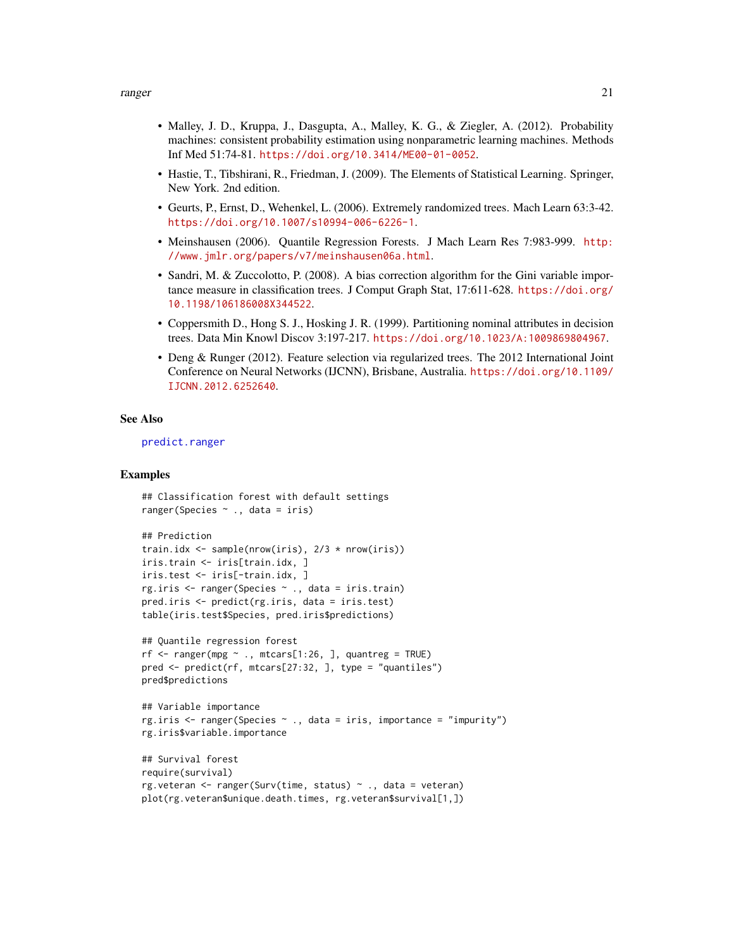- <span id="page-20-0"></span>• Malley, J. D., Kruppa, J., Dasgupta, A., Malley, K. G., & Ziegler, A. (2012). Probability machines: consistent probability estimation using nonparametric learning machines. Methods Inf Med 51:74-81. <https://doi.org/10.3414/ME00-01-0052>.
- Hastie, T., Tibshirani, R., Friedman, J. (2009). The Elements of Statistical Learning. Springer, New York. 2nd edition.
- Geurts, P., Ernst, D., Wehenkel, L. (2006). Extremely randomized trees. Mach Learn 63:3-42. <https://doi.org/10.1007/s10994-006-6226-1>.
- Meinshausen (2006). Quantile Regression Forests. J Mach Learn Res 7:983-999. [http:](http://www.jmlr.org/papers/v7/meinshausen06a.html) [//www.jmlr.org/papers/v7/meinshausen06a.html](http://www.jmlr.org/papers/v7/meinshausen06a.html).
- Sandri, M. & Zuccolotto, P. (2008). A bias correction algorithm for the Gini variable importance measure in classification trees. J Comput Graph Stat, 17:611-628. [https://doi.org/](https://doi.org/10.1198/106186008X344522) [10.1198/106186008X344522](https://doi.org/10.1198/106186008X344522).
- Coppersmith D., Hong S. J., Hosking J. R. (1999). Partitioning nominal attributes in decision trees. Data Min Knowl Discov 3:197-217. <https://doi.org/10.1023/A:1009869804967>.
- Deng & Runger (2012). Feature selection via regularized trees. The 2012 International Joint Conference on Neural Networks (IJCNN), Brisbane, Australia. [https://doi.org/10.1109/](https://doi.org/10.1109/IJCNN.2012.6252640) [IJCNN.2012.6252640](https://doi.org/10.1109/IJCNN.2012.6252640).

#### See Also

[predict.ranger](#page-7-1)

#### Examples

```
## Classification forest with default settings
ranger(Species ~ ., data = iris)
## Prediction
train.idx <- sample(nrow(iris), 2/3 * nrow(iris))
iris.train <- iris[train.idx, ]
iris.test <- iris[-train.idx, ]
rg.iris <- ranger(Species ~ ., data = iris.train)
pred.iris <- predict(rg.iris, data = iris.test)
```

```
## Quantile regression forest
rf \leq -r\text{anger(mpg } \sim ., mtcars[1:26, ], quantreg = TRUE)
pred <- predict(rf, mtcars[27:32, ], type = "quantiles")
```
table(iris.test\$Species, pred.iris\$predictions)

```
pred$predictions
```

```
## Variable importance
rg.iris \leq ranger(Species \leq ., data = iris, importance = "impurity")
rg.iris$variable.importance
```

```
## Survival forest
require(survival)
rg.veteran <- ranger(Surv(time, status) ~ ., data = veteran)
plot(rg.veteran$unique.death.times, rg.veteran$survival[1,])
```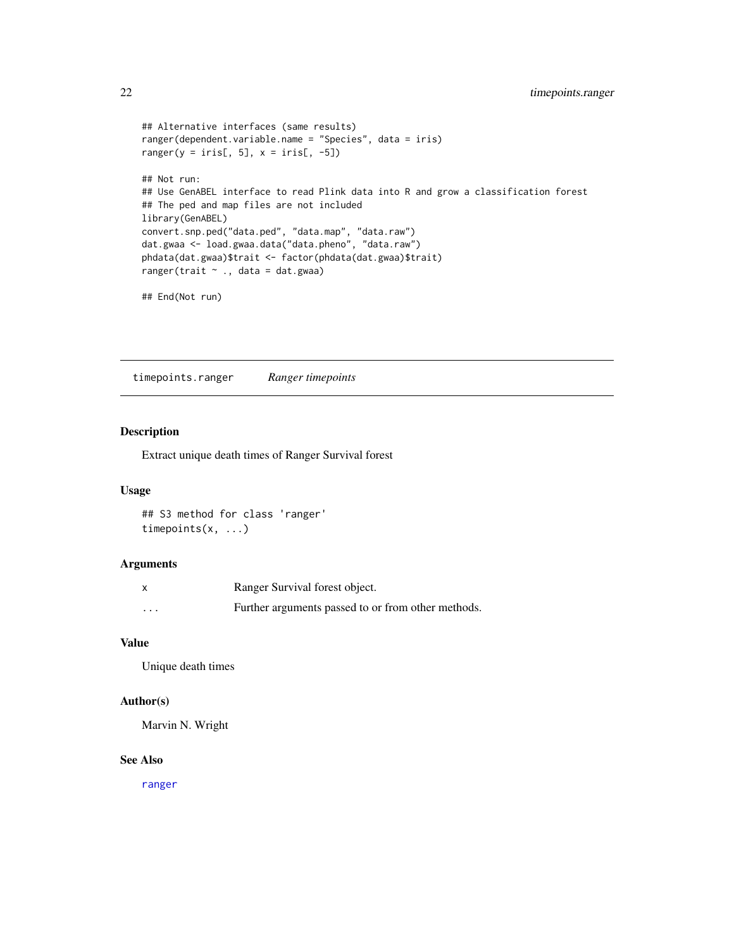```
## Alternative interfaces (same results)
ranger(dependent.variable.name = "Species", data = iris)
ranger(y = iris[, 5], x = iris[, -5])
## Not run:
## Use GenABEL interface to read Plink data into R and grow a classification forest
## The ped and map files are not included
library(GenABEL)
convert.snp.ped("data.ped", "data.map", "data.raw")
dat.gwaa <- load.gwaa.data("data.pheno", "data.raw")
phdata(dat.gwaa)$trait <- factor(phdata(dat.gwaa)$trait)
ranger(trait ~ ., data = dat.gwaa)
## End(Not run)
```
timepoints.ranger *Ranger timepoints*

# Description

Extract unique death times of Ranger Survival forest

# Usage

## S3 method for class 'ranger' timepoints(x, ...)

# Arguments

|          | Ranger Survival forest object.                     |
|----------|----------------------------------------------------|
| $\cdots$ | Further arguments passed to or from other methods. |

## Value

Unique death times

#### Author(s)

Marvin N. Wright

#### See Also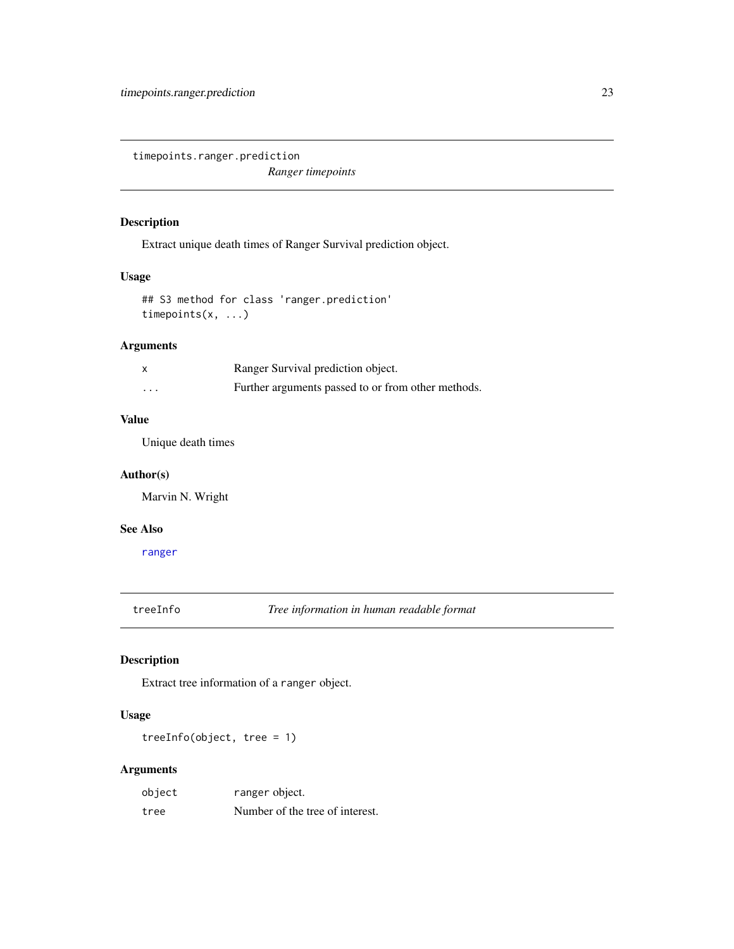<span id="page-22-0"></span>timepoints.ranger.prediction

*Ranger timepoints*

# Description

Extract unique death times of Ranger Survival prediction object.

# Usage

## S3 method for class 'ranger.prediction' timepoints(x, ...)

# Arguments

| $\boldsymbol{\mathsf{x}}$ | Ranger Survival prediction object.                 |
|---------------------------|----------------------------------------------------|
| $\cdot$ $\cdot$ $\cdot$   | Further arguments passed to or from other methods. |

#### Value

Unique death times

# Author(s)

Marvin N. Wright

# See Also

[ranger](#page-14-1)

treeInfo *Tree information in human readable format*

# Description

Extract tree information of a ranger object.

# Usage

treeInfo(object, tree = 1)

| object | ranger object.                  |
|--------|---------------------------------|
| tree   | Number of the tree of interest. |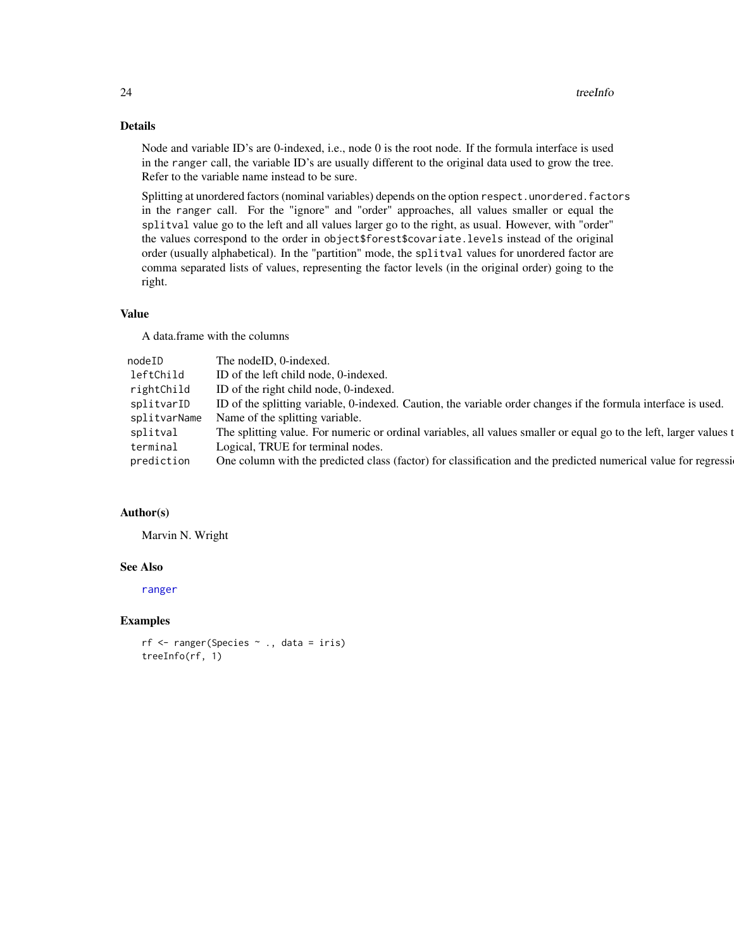# <span id="page-23-0"></span>Details

Node and variable ID's are 0-indexed, i.e., node 0 is the root node. If the formula interface is used in the ranger call, the variable ID's are usually different to the original data used to grow the tree. Refer to the variable name instead to be sure.

Splitting at unordered factors (nominal variables) depends on the option respect.unordered.factors in the ranger call. For the "ignore" and "order" approaches, all values smaller or equal the splitval value go to the left and all values larger go to the right, as usual. However, with "order" the values correspond to the order in object\$forest\$covariate.levels instead of the original order (usually alphabetical). In the "partition" mode, the splitval values for unordered factor are comma separated lists of values, representing the factor levels (in the original order) going to the right.

#### Value

A data.frame with the columns

| nodeID       | The nodeID, 0-indexed.                                                                                             |
|--------------|--------------------------------------------------------------------------------------------------------------------|
| leftChild    | ID of the left child node, 0-indexed.                                                                              |
| rightChild   | ID of the right child node, 0-indexed.                                                                             |
| splitvarID   | ID of the splitting variable, 0-indexed. Caution, the variable order changes if the formula interface is used.     |
| splitvarName | Name of the splitting variable.                                                                                    |
| splitval     | The splitting value. For numeric or ordinal variables, all values smaller or equal go to the left, larger values t |
| terminal     | Logical, TRUE for terminal nodes.                                                                                  |
| prediction   | One column with the predicted class (factor) for classification and the predicted numerical value for regressi     |
|              |                                                                                                                    |

#### Author(s)

Marvin N. Wright

# See Also

[ranger](#page-14-1)

# Examples

```
rf <- ranger(Species ~ ., data = iris)
treeInfo(rf, 1)
```